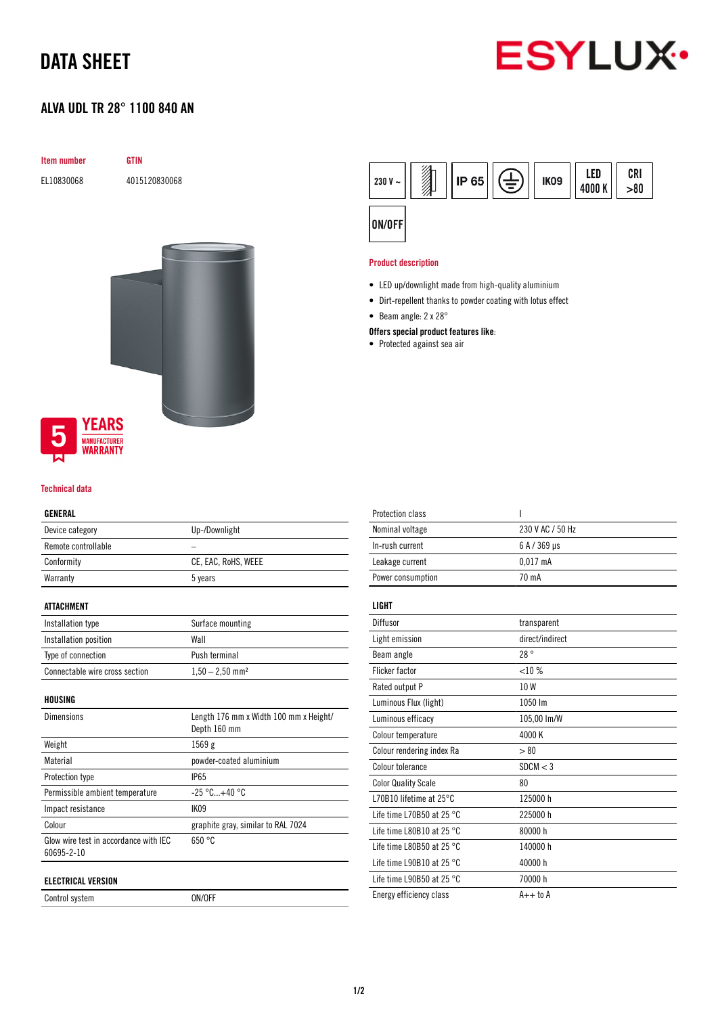# DATA SHEET

### ALVA UDL TR 28° 1100 840 AN



#### Technical data

#### GENERAL

| ---------           |                     |
|---------------------|---------------------|
| Device category     | Up-/Downlight       |
| Remote controllable |                     |
| Conformity          | CE, EAC, RoHS, WEEE |
| Warranty            | 5 years             |
|                     |                     |

### ATTACHMENT

| Installation type              | Surface mounting              |
|--------------------------------|-------------------------------|
| Installation position          | Wall                          |
| Type of connection             | Push terminal                 |
| Connectable wire cross section | $1,50 - 2,50$ mm <sup>2</sup> |

HOUSING

| <b>Dimensions</b>                                   | Length 176 mm x Width 100 mm x Height/<br>Depth 160 mm |
|-----------------------------------------------------|--------------------------------------------------------|
| Weight                                              | 1569 g                                                 |
| Material                                            | powder-coated aluminium                                |
| Protection type                                     | <b>IP65</b>                                            |
| Permissible ambient temperature                     | $-25\,^{\circ}\text{C}_{}+40\,^{\circ}\text{C}$        |
| Impact resistance                                   | IK <sub>09</sub>                                       |
| Colour                                              | graphite gray, similar to RAL 7024                     |
| Glow wire test in accordance with IFC<br>60695-2-10 | 650 °C                                                 |
| ELECTRICAL VERSION                                  |                                                        |

Control system ON/OFF



#### Product description

- LED up/downlight made from high-quality aluminium
- Dirt-repellent thanks to powder coating with lotus effect
- Beam angle: 2 x 28°

#### Offers special product features like:

• Protected against sea air

| <b>Protection class</b>             | ı                |
|-------------------------------------|------------------|
| Nominal voltage                     | 230 V AC / 50 Hz |
| In-rush current                     | 6 A / 369 µs     |
| Leakage current                     | $0.017$ mA       |
| Power consumption                   | 70 mA            |
|                                     |                  |
| LIGHT                               |                  |
| Diffusor                            | transparent      |
| Light emission                      | direct/indirect  |
| Beam angle                          | 28°              |
| <b>Flicker factor</b>               | $<10\%$          |
| Rated output P                      | 10W              |
| Luminous Flux (light)               | 1050 lm          |
| Luminous efficacy                   | 105,00 lm/W      |
| Colour temperature                  | 4000 K           |
| Colour rendering index Ra           | > 80             |
| Colour tolerance                    | SDCM < 3         |
| <b>Color Quality Scale</b>          | 80               |
| 170B10 lifetime at 25°C             | 125000 h         |
| Life time L70B50 at 25 $^{\circ}$ C | 225000h          |
| Life time L80B10 at 25 $^{\circ}$ C | 80000 h          |
| Life time L80B50 at 25 $^{\circ}$ C | 140000 h         |
| Life time L90B10 at 25 $^{\circ}$ C | 40000 h          |
| Life time L90B50 at 25 $^{\circ}$ C | 70000 h          |
| Energy efficiency class             | $A++$ to $A$     |
|                                     |                  |